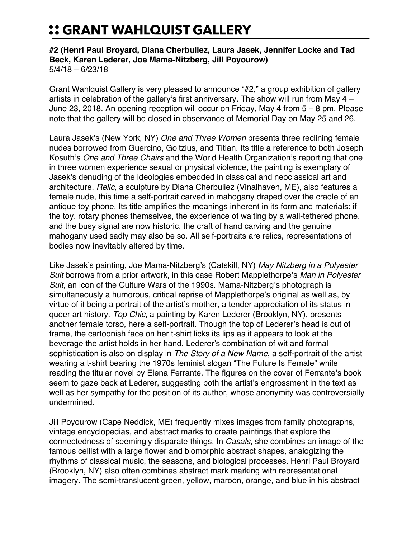## :: GRANT WAHLQUIST GALLERY

## **#2 (Henri Paul Broyard, Diana Cherbuliez, Laura Jasek, Jennifer Locke and Tad Beck, Karen Lederer, Joe Mama-Nitzberg, Jill Poyourow)** 5/4/18 – 6/23/18

Grant Wahlquist Gallery is very pleased to announce "#2," a group exhibition of gallery artists in celebration of the gallery's first anniversary. The show will run from May 4 – June 23, 2018. An opening reception will occur on Friday, May 4 from 5 – 8 pm. Please note that the gallery will be closed in observance of Memorial Day on May 25 and 26.

Laura Jasek's (New York, NY) *One and Three Women* presents three reclining female nudes borrowed from Guercino, Goltzius, and Titian. Its title a reference to both Joseph Kosuth's *One and Three Chairs* and the World Health Organization's reporting that one in three women experience sexual or physical violence, the painting is exemplary of Jasek's denuding of the ideologies embedded in classical and neoclassical art and architecture. *Relic*, a sculpture by Diana Cherbuliez (Vinalhaven, ME), also features a female nude, this time a self-portrait carved in mahogany draped over the cradle of an antique toy phone. Its title amplifies the meanings inherent in its form and materials: if the toy, rotary phones themselves, the experience of waiting by a wall-tethered phone, and the busy signal are now historic, the craft of hand carving and the genuine mahogany used sadly may also be so. All self-portraits are relics, representations of bodies now inevitably altered by time.

Like Jasek's painting, Joe Mama-Nitzberg's (Catskill, NY) *May Nitzberg in a Polyester Suit* borrows from a prior artwork, in this case Robert Mapplethorpe's *Man in Polyester Suit*, an icon of the Culture Wars of the 1990s. Mama-Nitzberg's photograph is simultaneously a humorous, critical reprise of Mapplethorpe's original as well as, by virtue of it being a portrait of the artist's mother, a tender appreciation of its status in queer art history. *Top Chic*, a painting by Karen Lederer (Brooklyn, NY), presents another female torso, here a self-portrait. Though the top of Lederer's head is out of frame, the cartoonish face on her t-shirt licks its lips as it appears to look at the beverage the artist holds in her hand. Lederer's combination of wit and formal sophistication is also on display in *The Story of a New Name*, a self-portrait of the artist wearing a t-shirt bearing the 1970s feminist slogan "The Future Is Female" while reading the titular novel by Elena Ferrante. The figures on the cover of Ferrante's book seem to gaze back at Lederer, suggesting both the artist's engrossment in the text as well as her sympathy for the position of its author, whose anonymity was controversially undermined.

Jill Poyourow (Cape Neddick, ME) frequently mixes images from family photographs, vintage encyclopedias, and abstract marks to create paintings that explore the connectedness of seemingly disparate things. In *Casals*, she combines an image of the famous cellist with a large flower and biomorphic abstract shapes, analogizing the rhythms of classical music, the seasons, and biological processes. Henri Paul Broyard (Brooklyn, NY) also often combines abstract mark marking with representational imagery. The semi-translucent green, yellow, maroon, orange, and blue in his abstract